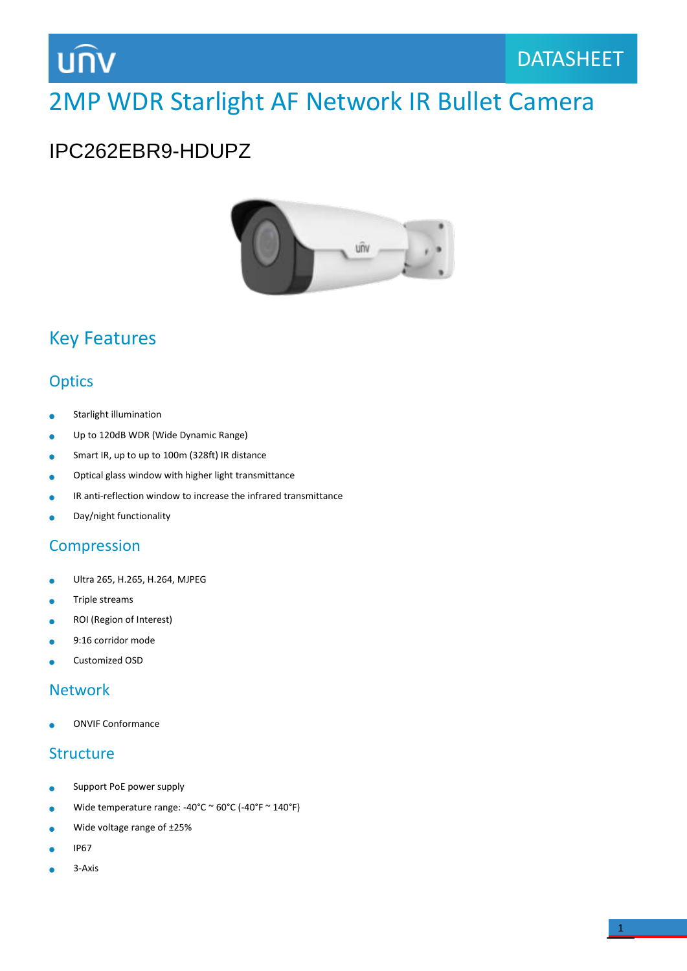## **UNV**

## 2MP WDR Starlight AF Network IR Bullet Camera

## IPC262EBR9-HDUPZ



## Key Features

### **Optics**

- Starlight illumination Ä
- Up to 120dB WDR (Wide Dynamic Range)  $\bullet$
- Smart IR, up to up to 100m (328ft) IR distance ó
- Optical glass window with higher light transmittance ä
- IR anti-reflection window to increase the infrared transmittance Ä
- Day/night functionality  $\bullet$

#### **Compression**

- Ultra 265, H.265, H.264, MJPEG  $\bullet$
- Triple streams ä
- ROI (Region of Interest)  $\bullet$
- 9:16 corridor mode
- Customized OSD

#### Network

ONVIF Conformance

#### **Structure**

- Support PoE power supply  $\bullet$
- Wide temperature range: -40°C ~ 60°C (-40°F ~ 140°F)  $\bullet$
- Wide voltage range of ±25%  $\bullet$
- IP67 Ä
- 3-Axis×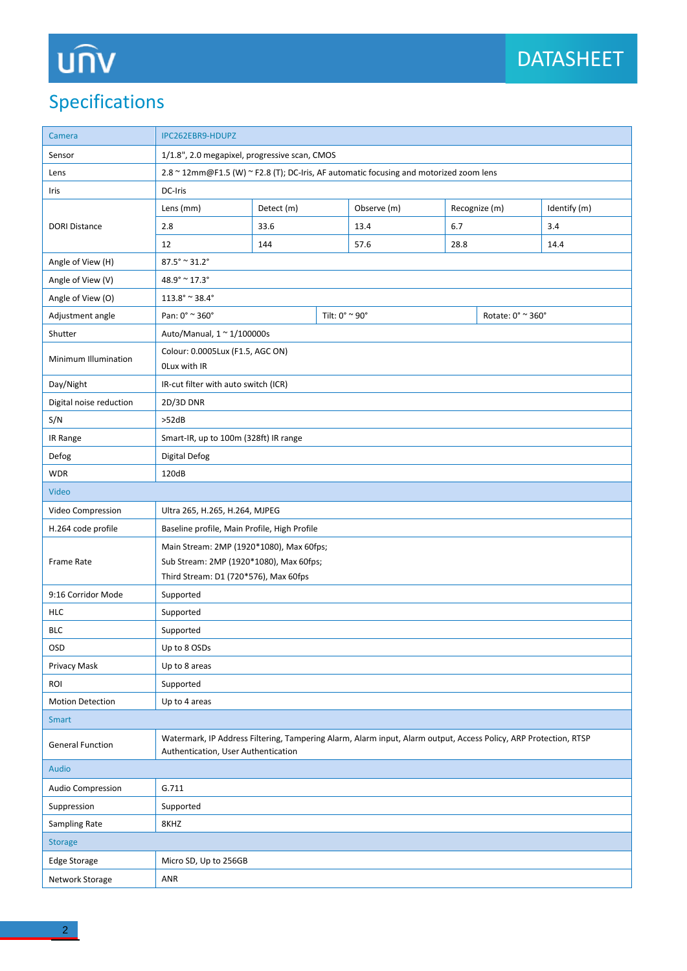# **UNV**

## Specifications

| Camera                  | IPC262EBR9-HDUPZ                                                                                                                                        |                |  |             |      |                   |              |  |
|-------------------------|---------------------------------------------------------------------------------------------------------------------------------------------------------|----------------|--|-------------|------|-------------------|--------------|--|
| Sensor                  | 1/1.8", 2.0 megapixel, progressive scan, CMOS                                                                                                           |                |  |             |      |                   |              |  |
| Lens                    | 2.8 ~ 12mm@F1.5 (W) ~ F2.8 (T); DC-Iris, AF automatic focusing and motorized zoom lens                                                                  |                |  |             |      |                   |              |  |
| Iris                    | DC-Iris                                                                                                                                                 |                |  |             |      |                   |              |  |
|                         | Lens (mm)                                                                                                                                               | Detect (m)     |  | Observe (m) |      | Recognize (m)     | Identify (m) |  |
| <b>DORI Distance</b>    | 2.8                                                                                                                                                     | 33.6           |  | 13.4        | 6.7  |                   | 3.4          |  |
|                         | 12                                                                                                                                                      | 144            |  | 57.6        | 28.8 |                   | 14.4         |  |
| Angle of View (H)       | $87.5^{\circ} \approx 31.2^{\circ}$                                                                                                                     |                |  |             |      |                   |              |  |
| Angle of View (V)       | $48.9^{\circ} \approx 17.3^{\circ}$                                                                                                                     |                |  |             |      |                   |              |  |
| Angle of View (O)       | $113.8^{\circ} \approx 38.4^{\circ}$                                                                                                                    |                |  |             |      |                   |              |  |
| Adjustment angle        | Pan: 0° ~ 360°                                                                                                                                          | Tilt: 0° ~ 90° |  |             |      | Rotate: 0° ~ 360° |              |  |
| Shutter                 | Auto/Manual, $1 \approx 1/100000$ s                                                                                                                     |                |  |             |      |                   |              |  |
| Minimum Illumination    | Colour: 0.0005Lux (F1.5, AGC ON)<br>OLux with IR                                                                                                        |                |  |             |      |                   |              |  |
| Day/Night               | IR-cut filter with auto switch (ICR)                                                                                                                    |                |  |             |      |                   |              |  |
| Digital noise reduction | 2D/3D DNR                                                                                                                                               |                |  |             |      |                   |              |  |
| S/N                     | >52dB                                                                                                                                                   |                |  |             |      |                   |              |  |
| IR Range                | Smart-IR, up to 100m (328ft) IR range                                                                                                                   |                |  |             |      |                   |              |  |
| Defog                   | <b>Digital Defog</b>                                                                                                                                    |                |  |             |      |                   |              |  |
| <b>WDR</b>              | 120dB                                                                                                                                                   |                |  |             |      |                   |              |  |
| Video                   |                                                                                                                                                         |                |  |             |      |                   |              |  |
| Video Compression       | Ultra 265, H.265, H.264, MJPEG                                                                                                                          |                |  |             |      |                   |              |  |
| H.264 code profile      | Baseline profile, Main Profile, High Profile                                                                                                            |                |  |             |      |                   |              |  |
|                         | Main Stream: 2MP (1920*1080), Max 60fps;                                                                                                                |                |  |             |      |                   |              |  |
| Frame Rate              | Sub Stream: 2MP (1920*1080), Max 60fps;                                                                                                                 |                |  |             |      |                   |              |  |
|                         | Third Stream: D1 (720*576), Max 60fps                                                                                                                   |                |  |             |      |                   |              |  |
| 9:16 Corridor Mode      | Supported                                                                                                                                               |                |  |             |      |                   |              |  |
| <b>HLC</b>              | Supported                                                                                                                                               |                |  |             |      |                   |              |  |
| <b>BLC</b>              | Supported                                                                                                                                               |                |  |             |      |                   |              |  |
| <b>OSD</b>              | Up to 8 OSDs                                                                                                                                            |                |  |             |      |                   |              |  |
| Privacy Mask            | Up to 8 areas                                                                                                                                           |                |  |             |      |                   |              |  |
| ROI                     | Supported                                                                                                                                               |                |  |             |      |                   |              |  |
| <b>Motion Detection</b> | Up to 4 areas                                                                                                                                           |                |  |             |      |                   |              |  |
| <b>Smart</b>            |                                                                                                                                                         |                |  |             |      |                   |              |  |
| <b>General Function</b> | Watermark, IP Address Filtering, Tampering Alarm, Alarm input, Alarm output, Access Policy, ARP Protection, RTSP<br>Authentication, User Authentication |                |  |             |      |                   |              |  |
| Audio                   |                                                                                                                                                         |                |  |             |      |                   |              |  |
| Audio Compression       | G.711                                                                                                                                                   |                |  |             |      |                   |              |  |
| Suppression             | Supported                                                                                                                                               |                |  |             |      |                   |              |  |
| Sampling Rate           | 8KHZ                                                                                                                                                    |                |  |             |      |                   |              |  |
| <b>Storage</b>          |                                                                                                                                                         |                |  |             |      |                   |              |  |
| Edge Storage            | Micro SD, Up to 256GB                                                                                                                                   |                |  |             |      |                   |              |  |
| Network Storage         | ANR                                                                                                                                                     |                |  |             |      |                   |              |  |
|                         |                                                                                                                                                         |                |  |             |      |                   |              |  |